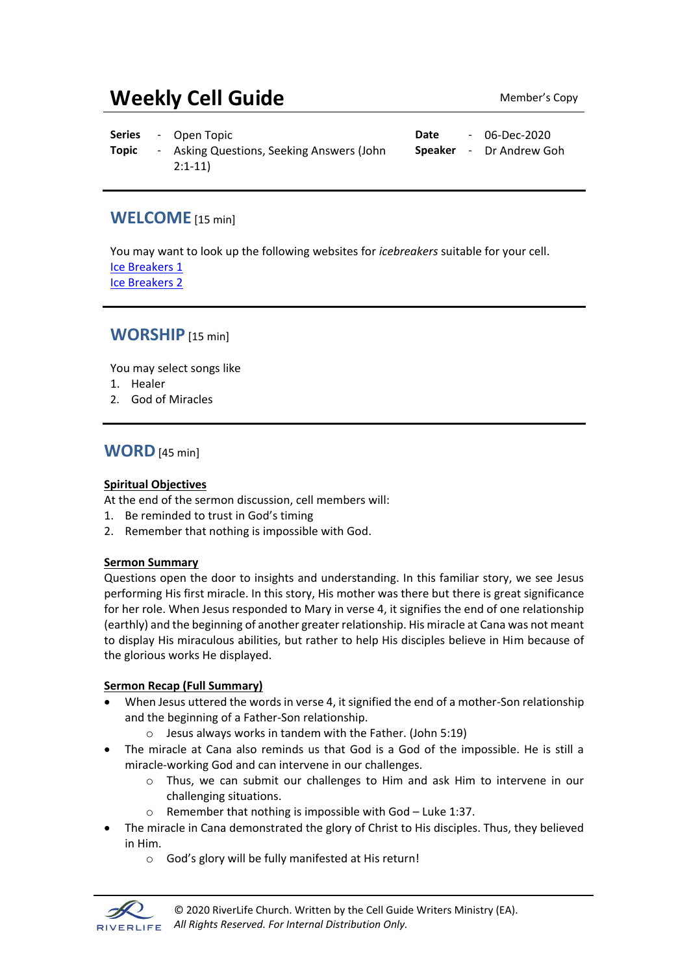# **Weekly Cell Guide** Member's Copy

**Series** - Open Topic **Date** - 06-Dec-2020 **Topic** - Asking Questions, Seeking Answers (John 2:1-11) **Speaker** - Dr Andrew Goh

### **WELCOME** [15 min]

You may want to look up the following websites for *icebreakers* suitable for your cell. [Ice Breakers 1](http://www.thesource4ym.com/games/) [Ice Breakers 2](http://www.christianitytoday.com/smallgroups/articles/icebreakersbeyond.html)

## **WORSHIP** [15 min]

You may select songs like

- 1. Healer
- 2. God of Miracles

## **WORD**[45 min]

#### **Spiritual Objectives**

At the end of the sermon discussion, cell members will:

- 1. Be reminded to trust in God's timing
- 2. Remember that nothing is impossible with God.

#### **Sermon Summary**

Questions open the door to insights and understanding. In this familiar story, we see Jesus performing His first miracle. In this story, His mother was there but there is great significance for her role. When Jesus responded to Mary in verse 4, it signifies the end of one relationship (earthly) and the beginning of another greater relationship. His miracle at Cana was not meant to display His miraculous abilities, but rather to help His disciples believe in Him because of the glorious works He displayed.

#### **Sermon Recap (Full Summary)**

- When Jesus uttered the words in verse 4, it signified the end of a mother-Son relationship and the beginning of a Father-Son relationship.
	- o Jesus always works in tandem with the Father. (John 5:19)
- The miracle at Cana also reminds us that God is a God of the impossible. He is still a miracle-working God and can intervene in our challenges.
	- o Thus, we can submit our challenges to Him and ask Him to intervene in our challenging situations.
	- o Remember that nothing is impossible with God Luke 1:37.
- The miracle in Cana demonstrated the glory of Christ to His disciples. Thus, they believed in Him.
	- o God's glory will be fully manifested at His return!